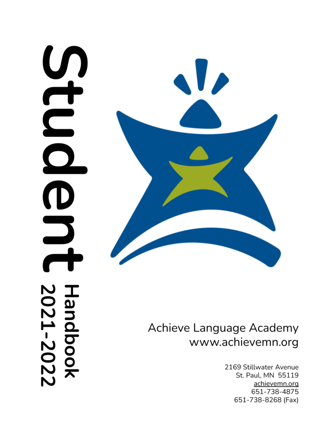# $\mathbf{D}$ J **Handbook**<br>2021-2022



# Achieve Language Academy www.achievemn.org

2169 Stillwater Avenue St. Paul, MN 55119 achievemn.org 651-738-4875 651-738-8268 (Fax)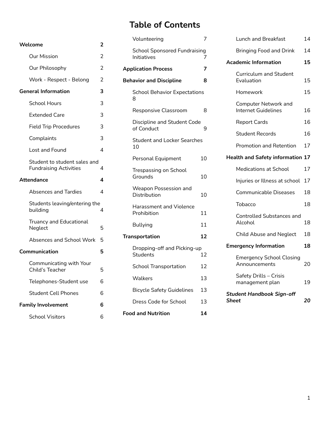# **Table of Contents**

| Welcome                                                       | 2              |
|---------------------------------------------------------------|----------------|
| <b>Our Mission</b>                                            | $\overline{2}$ |
| Our Philosophy                                                | 2              |
| Work - Respect - Belong                                       | 2              |
| <b>General Information</b>                                    | 3              |
| School Hours                                                  | 3              |
| <b>Extended Care</b>                                          | 3              |
| <b>Field Trip Procedures</b>                                  | 3              |
| Complaints                                                    | 3              |
| Lost and Found                                                | 4              |
| Student to student sales and<br><b>Fundraising Activities</b> | 4              |
| <b>Attendance</b>                                             | 4              |
| Absences and Tardies                                          | 4              |
| Students leaving/entering the<br>building                     | 4              |
| Truancy and Educational<br>Neglect                            | 5              |
| <b>Absences and School Work</b>                               | 5              |
| Communication                                                 | 5              |
| Communicating with Your<br>Child's Teacher                    | 5              |
| Telephones-Student use                                        | 6              |
| <b>Student Cell Phones</b>                                    | 6              |
| <b>Family Involvement</b>                                     | 6              |
| <b>School Visitors</b>                                        | 6              |

|   | Volunteering                                       | 7  |
|---|----------------------------------------------------|----|
| 2 |                                                    |    |
| 2 | <b>School Sponsored Fundraising</b><br>Initiatives | 7  |
| 2 | <b>Application Process</b>                         | 7  |
| 2 | <b>Behavior and Discipline</b>                     | 8  |
| з | <b>School Behavior Expectations</b><br>8           |    |
| 3 | Responsive Classroom                               | 8  |
| 3 |                                                    |    |
| 3 | Discipline and Student Code<br>of Conduct          | 9  |
| 3 | <b>Student and Locker Searches</b>                 |    |
| 4 | 10                                                 |    |
|   | Personal Equipment                                 | 10 |
| 4 | Trespassing on School                              |    |
| 4 | Grounds                                            | 10 |
| 4 | Weapon Possession and<br>Distribution              | 10 |
| 4 | <b>Harassment and Violence</b><br>Prohibition      | 11 |
| 5 | <b>Bullying</b>                                    | 11 |
| 5 | <b>Transportation</b>                              | 12 |
| 5 | Dropping-off and Picking-up<br><b>Students</b>     | 12 |
| 5 | <b>School Transportation</b>                       | 12 |
| 6 | Walkers                                            | 13 |
| 6 | <b>Bicycle Safety Guidelines</b>                   | 13 |
| 6 | Dress Code for School                              | 13 |
|   | <b>Food and Nutrition</b>                          | 14 |

| Volunteering                                         | 7  | Lunch and Breakfast                                             | 14 |
|------------------------------------------------------|----|-----------------------------------------------------------------|----|
| <b>School Sponsored Fundraising</b><br>Initiatives   | 7  | <b>Bringing Food and Drink</b>                                  | 14 |
| <b>Ilication Process</b>                             | 7  | <b>Academic Information</b>                                     | 15 |
| avior and Discipline                                 | 8  | <b>Curriculum and Student</b><br>Evaluation                     | 15 |
| <b>School Behavior Expectations</b><br>8             |    | Homework                                                        | 15 |
| <b>Responsive Classroom</b>                          | 8  | <b>Computer Network and</b><br><b>Internet Guidelines</b>       | 16 |
| Discipline and Student Code                          |    | <b>Report Cards</b>                                             | 16 |
| of Conduct                                           | 9  | <b>Student Records</b>                                          | 16 |
| <b>Student and Locker Searches</b><br>10             |    | <b>Promotion and Retention</b>                                  | 17 |
| Personal Equipment                                   | 10 | <b>Health and Safety information 17</b>                         |    |
| Trespassing on School<br>Grounds                     | 10 | Medications at School                                           | 17 |
|                                                      |    | Injuries or Illness at school                                   | 17 |
| <b>Weapon Possession and</b><br><b>Distribution</b>  | 10 | Communicable Diseases                                           | 18 |
| Harassment and Violence                              |    | <b>Tobacco</b>                                                  | 18 |
| Prohibition                                          | 11 | <b>Controlled Substances and</b><br>Alcohol                     | 18 |
| <b>Bullying</b>                                      | 11 |                                                                 |    |
| <b>nsportation</b>                                   | 12 | <b>Child Abuse and Neglect</b>                                  | 18 |
| Dropping-off and Picking-up<br>12<br><b>Students</b> |    | <b>Emergency Information</b><br><b>Emergency School Closing</b> | 18 |
| <b>School Transportation</b>                         | 12 | Announcements                                                   |    |
| Walkers                                              | 13 | Safety Drills - Crisis<br>management plan                       | 19 |
| <b>Bicycle Safety Guidelines</b>                     | 13 | <b>Student Handbook Sign-off</b><br>Sheet<br>20                 |    |
| Dress Code for School                                | 13 |                                                                 |    |
|                                                      |    |                                                                 |    |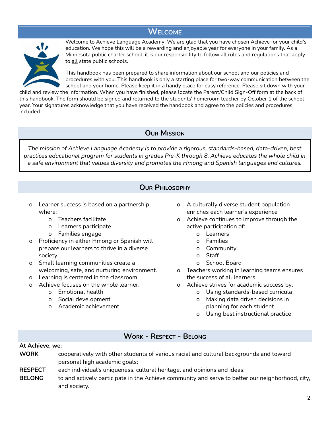# **WELCOME**

<span id="page-2-0"></span>

Welcome to Achieve Language Academy! We are glad that you have chosen Achieve for your child's education. We hope this will be a rewarding and enjoyable year for everyone in your family. As a Minnesota public charter school, it is our responsibility to follow all rules and regulations that apply to all state public schools.

This handbook has been prepared to share information about our school and our policies and procedures with you. This handbook is only a starting place for two-way communication between the school and your home. Please keep it in a handy place for easy reference. Please sit down with your

child and review the information. When you have finished, please locate the Parent/Child Sign-Off form at the back of this handbook. The form should be signed and returned to the students' homeroom teacher by October 1 of the school year. Your signatures acknowledge that you have received the handbook and agree to the policies and procedures included.

# **OUR MISSION**

<span id="page-2-1"></span>*The mission of Achieve Language Academy is to provide a rigorous, standards-based, data-driven, best practices educational program for students in grades Pre-K through 8. Achieve educates the whole child in a safe environment that values diversity and promotes the Hmong and Spanish languages and cultures.*

# **OUR PHILOSOPHY**

- <span id="page-2-2"></span>o Learner success is based on a partnership where:
	- o Teachers facilitate
	- o Learners participate
	- o Families engage
- o Proficiency in either Hmong or Spanish will prepare our learners to thrive in a diverse society.
- o Small learning communities create a welcoming, safe, and nurturing environment.
- o Learning is centered in the classroom.
- o Achieve focuses on the whole learner:
	- o Emotional health
	- o Social development
	- o Academic achievement
- o A culturally diverse student population enriches each learner's experience
- o Achieve continues to improve through the active participation of:
	- o Learners
	- o Families
	- o Community
	- o Staff
	- o School Board
- o Teachers working in learning teams ensures the success of all learners
- o Achieve strives for academic success by:
	- o Using standards-based curricula
	- o Making data driven decisions in planning for each student
	- o Using best instructional practice

# **WORK - RESPECT - BELONG**

### <span id="page-2-3"></span>**At Achieve, we:**

- **WORK** cooperatively with other students of various racial and cultural backgrounds and toward personal high academic goals;
- **RESPECT** each individual's uniqueness, cultural heritage, and opinions and ideas;
- **BELONG** to and actively participate in the Achieve community and serve to better our neighborhood, city, and society.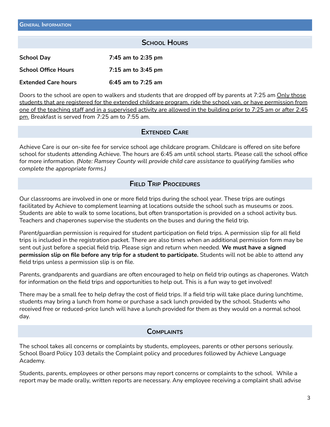### **SCHOOL HOURS**

<span id="page-3-1"></span><span id="page-3-0"></span>

| <b>School Day</b>          | 7:45 am to 2:35 pm     |
|----------------------------|------------------------|
| <b>School Office Hours</b> | $7:15$ am to $3:45$ pm |
| <b>Extended Care hours</b> | 6:45 am to 7:25 am     |

Doors to the school are open to walkers and students that are dropped off by parents at 7:25 am Only those students that are registered for the extended childcare program, ride the school van, or have permission from one of the teaching staff and in a supervised activity are allowed in the building prior to 7:25 am or after 2:45 pm. Breakfast is served from 7:25 am to 7:55 am.

### **EXTENDED CARE**

<span id="page-3-2"></span>Achieve Care is our on-site fee for service school age childcare program. Childcare is offered on site before school for students attending Achieve. The hours are 6:45 am until school starts. Please call the school office for more information. *(Note: Ramsey County will provide child care assistance to qualifying families who complete the appropriate forms.)*

### **FIELD TRIP PROCEDURES**

<span id="page-3-3"></span>Our classrooms are involved in one or more field trips during the school year. These trips are outings facilitated by Achieve to complement learning at locations outside the school such as museums or zoos. Students are able to walk to some locations, but often transportation is provided on a school activity bus. Teachers and chaperones supervise the students on the buses and during the field trip.

Parent/guardian permission is required for student participation on field trips. A permission slip for all field trips is included in the registration packet. There are also times when an additional permission form may be sent out just before a special field trip. Please sign and return when needed. **We must have a signed permission slip on file before any trip for a student to participate.** Students will not be able to attend any field trips unless a permission slip is on file.

Parents, grandparents and guardians are often encouraged to help on field trip outings as chaperones. Watch for information on the field trips and opportunities to help out. This is a fun way to get involved!

There may be a small fee to help defray the cost of field trips. If a field trip will take place during lunchtime, students may bring a lunch from home or purchase a sack lunch provided by the school. Students who received free or reduced-price lunch will have a lunch provided for them as they would on a normal school day.

### **COMPLAINTS**

<span id="page-3-4"></span>The school takes all concerns or complaints by students, employees, parents or other persons seriously. School Board Policy 103 details the Complaint policy and procedures followed by Achieve Language Academy.

Students, parents, employees or other persons may report concerns or complaints to the school. While a report may be made orally, written reports are necessary. Any employee receiving a complaint shall advise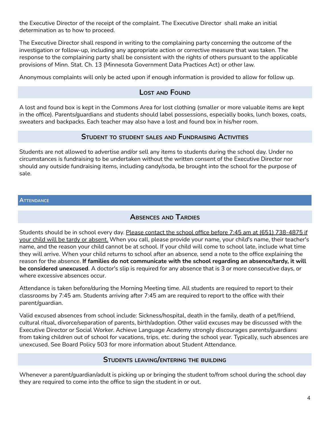the Executive Director of the receipt of the complaint. The Executive Director shall make an initial determination as to how to proceed.

The Executive Director shall respond in writing to the complaining party concerning the outcome of the investigation or follow-up, including any appropriate action or corrective measure that was taken. The response to the complaining party shall be consistent with the rights of others pursuant to the applicable provisions of Minn. Stat. Ch. 13 (Minnesota Government Data Practices Act) or other law.

<span id="page-4-0"></span>Anonymous complaints will only be acted upon if enough information is provided to allow for follow up.

# **LOST AND FOUND**

A lost and found box is kept in the Commons Area for lost clothing (smaller or more valuable items are kept in the office). Parents/guardians and students should label possessions, especially books, lunch boxes, coats, sweaters and backpacks. Each teacher may also have a lost and found box in his/her room.

# **STUDENT TO STUDENT SALES AND FUNDRAISING ACTIVITIES**

<span id="page-4-1"></span>Students are not allowed to advertise and/or sell any items to students during the school day. Under no circumstances is fundraising to be undertaken without the written consent of the Executive Director nor should any outside fundraising items, including candy/soda, be brought into the school for the purpose of sale.

### <span id="page-4-3"></span><span id="page-4-2"></span>**ATTENDANCE**

# **ABSENCES AND TARDIES**

Students should be in school every day. Please contact the school office before 7:45 am at (651) 738-4875 if your child will be tardy or absent. When you call, please provide your name, your child's name, their teacher's name, and the reason your child cannot be at school. If your child will come to school late, include what time they will arrive. When your child returns to school after an absence, send a note to the office explaining the reason for the absence. **If families do not communicate with the school regarding an absence/tardy, it will be considered unexcused**. A doctor's slip is required for any absence that is 3 or more consecutive days, or where excessive absences occur.

Attendance is taken before/during the Morning Meeting time. All students are required to report to their classrooms by 7:45 am. Students arriving after 7:45 am are required to report to the office with their parent/guardian.

Valid excused absences from school include: Sickness/hospital, death in the family, death of a pet/friend, cultural ritual, divorce/separation of parents, birth/adoption. Other valid excuses may be discussed with the Executive Director or Social Worker. Achieve Language Academy strongly discourages parents/guardians from taking children out of school for vacations, trips, etc. during the school year. Typically, such absences are unexcused. See Board Policy 503 for more information about Student Attendance.

# **STUDENTS LEAVING/ENTERING THE BUILDING**

<span id="page-4-4"></span>Whenever a parent/guardian/adult is picking up or bringing the student to/from school during the school day they are required to come into the office to sign the student in or out.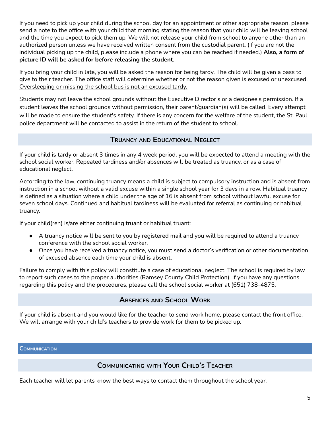If you need to pick up your child during the school day for an appointment or other appropriate reason, please send a note to the office with your child that morning stating the reason that your child will be leaving school and the time you expect to pick them up. We will not release your child from school to anyone other than an authorized person unless we have received written consent from the custodial parent. (If you are not the individual picking up the child, please include a phone where you can be reached if needed.) **Also, a form of picture ID will be asked for before releasing the student**.

If you bring your child in late, you will be asked the reason for being tardy. The child will be given a pass to give to their teacher. The office staff will determine whether or not the reason given is excused or unexcused. Oversleeping or missing the school bus is not an excused tardy.

Students may not leave the school grounds without the Executive Director's or a designee's permission. If a student leaves the school grounds without permission, their parent/guardian(s) will be called. Every attempt will be made to ensure the student's safety. If there is any concern for the welfare of the student, the St. Paul police department will be contacted to assist in the return of the student to school.

# **TRUANCY AND EDUCATIONAL NEGLECT**

<span id="page-5-0"></span>If your child is tardy or absent 3 times in any 4 week period, you will be expected to attend a meeting with the school social worker. Repeated tardiness and/or absences will be treated as truancy, or as a case of educational neglect.

According to the law, continuing truancy means a child is subject to compulsory instruction and is absent from instruction in a school without a valid excuse within a single school year for 3 days in a row. Habitual truancy is defined as a situation where a child under the age of 16 is absent from school without lawful excuse for seven school days. Continued and habitual tardiness will be evaluated for referral as continuing or habitual truancy.

If your child(ren) is/are either continuing truant or habitual truant:

- A truancy notice will be sent to you by registered mail and you will be required to attend a truancy conference with the school social worker.
- Once you have received a truancy notice, you must send a doctor's verification or other documentation of excused absence each time your child is absent.

Failure to comply with this policy will constitute a case of educational neglect. The school is required by law to report such cases to the proper authorities (Ramsey County Child Protection). If you have any questions regarding this policy and the procedures, please call the school social worker at (651) 738-4875.

# **ABSENCES AND SCHOOL WORK**

<span id="page-5-1"></span>If your child is absent and you would like for the teacher to send work home, please contact the front office. We will arrange with your child's teachers to provide work for them to be picked up.

<span id="page-5-3"></span><span id="page-5-2"></span>**COMMUNICATION**

# **COMMUNICATING WITH YOUR CHILD'S TEACHER**

Each teacher will let parents know the best ways to contact them throughout the school year.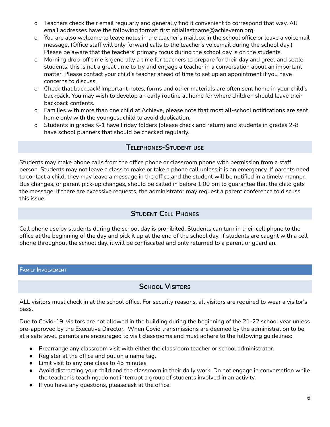- o Teachers check their email regularly and generally find it convenient to correspond that way. All email addresses have the following format: firstinitiallastname@achievemn.org.
- o You are also welcome to leave notes in the teacher's mailbox in the school office or leave a voicemail message. (Office staff will only forward calls to the teacher's voicemail during the school day.) Please be aware that the teachers' primary focus during the school day is on the students.
- o Morning drop-off time is generally a time for teachers to prepare for their day and greet and settle students; this is not a great time to try and engage a teacher in a conversation about an important matter. Please contact your child's teacher ahead of time to set up an appointment if you have concerns to discuss.
- o Check that backpack! Important notes, forms and other materials are often sent home in your child's backpack. You may wish to develop an early routine at home for where children should leave their backpack contents.
- o Families with more than one child at Achieve, please note that most all-school notifications are sent home only with the youngest child to avoid duplication.
- o Students in grades K-1 have Friday folders (please check and return) and students in grades 2-8 have school planners that should be checked regularly.

# **TELEPHONES-STUDENT USE**

<span id="page-6-0"></span>Students may make phone calls from the office phone or classroom phone with permission from a staff person. Students may not leave a class to make or take a phone call unless it is an emergency. If parents need to contact a child, they may leave a message in the office and the student will be notified in a timely manner. Bus changes, or parent pick-up changes, should be called in before 1:00 pm to guarantee that the child gets the message. If there are excessive requests, the administrator may request a parent conference to discuss this issue.

# **STUDENT CELL PHONES**

<span id="page-6-1"></span>Cell phone use by students during the school day is prohibited. Students can turn in their cell phone to the office at the beginning of the day and pick it up at the end of the school day. If students are caught with a cell phone throughout the school day, it will be confiscated and only returned to a parent or guardian.

### <span id="page-6-3"></span><span id="page-6-2"></span>**FAMILY INVOLVEMENT**

# **SCHOOL VISITORS**

ALL visitors must check in at the school office. For security reasons, all visitors are required to wear a visitor's pass.

Due to Covid-19, visitors are not allowed in the building during the beginning of the 21-22 school year unless pre-approved by the Executive Director. When Covid transmissions are deemed by the administration to be at a safe level, parents are encouraged to visit classrooms and must adhere to the following guidelines:

- Prearrange any classroom visit with either the classroom teacher or school administrator.
- Register at the office and put on a name tag.
- Limit visit to any one class to 45 minutes.
- Avoid distracting your child and the classroom in their daily work. Do not engage in conversation while the teacher is teaching; do not interrupt a group of students involved in an activity.
- If you have any questions, please ask at the office.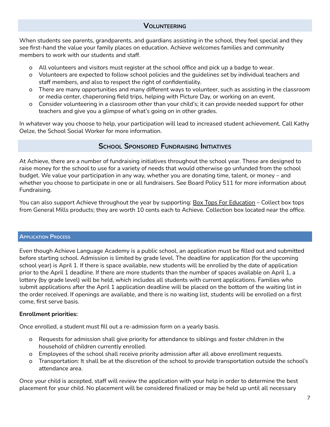### **VOLUNTEERING**

<span id="page-7-0"></span>When students see parents, grandparents, and guardians assisting in the school, they feel special and they see first-hand the value your family places on education. Achieve welcomes families and community members to work with our students and staff.

- o All volunteers and visitors must register at the school office and pick up a badge to wear.
- o Volunteers are expected to follow school policies and the guidelines set by individual teachers and staff members, and also to respect the right of confidentiality.
- o There are many opportunities and many different ways to volunteer, such as assisting in the classroom or media center, chaperoning field trips, helping with Picture Day, or working on an event.
- o Consider volunteering in a classroom other than your child's; it can provide needed support for other teachers and give you a glimpse of what's going on in other grades.

In whatever way you choose to help, your participation will lead to increased student achievement. Call Kathy Oelze, the School Social Worker for more information.

# **SCHOOL SPONSORED FUNDRAISING INITIATIVES**

<span id="page-7-1"></span>At Achieve, there are a number of fundraising initiatives throughout the school year. These are designed to raise money for the school to use for a variety of needs that would otherwise go unfunded from the school budget. We value your participation in any way, whether you are donating time, talent, or money – and whether you choose to participate in one or all fundraisers. See Board Policy 511 for more information about Fundraising.

You can also support Achieve throughout the year by supporting: **Box Tops For Education** – Collect box tops from General Mills products; they are worth 10 cents each to Achieve. Collection box located near the office.

### <span id="page-7-2"></span>**APPLICATION PROCESS**

Even though Achieve Language Academy is a public school, an application must be filled out and submitted before starting school. Admission is limited by grade level. The deadline for application (for the upcoming school year) is April 1. If there is space available, new students will be enrolled by the date of application prior to the April 1 deadline. If there are more students than the number of spaces available on April 1, a lottery (by grade level) will be held, which includes all students with current applications. Families who submit applications after the April 1 application deadline will be placed on the bottom of the waiting list in the order received. If openings are available, and there is no waiting list, students will be enrolled on a first come, first serve basis.

### **Enrollment priorities:**

Once enrolled, a student must fill out a re-admission form on a yearly basis.

- o Requests for admission shall give priority for attendance to siblings and foster children in the household of children currently enrolled.
- o Employees of the school shall receive priority admission after all above enrollment requests.
- o Transportation: It shall be at the discretion of the school to provide transportation outside the school's attendance area.

Once your child is accepted, staff will review the application with your help in order to determine the best placement for your child. No placement will be considered finalized or may be held up until all necessary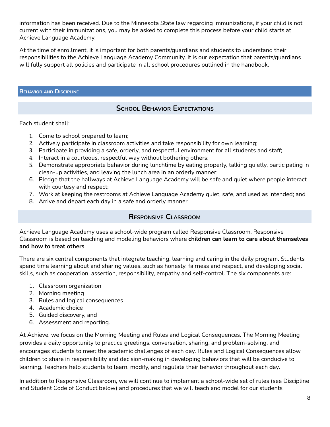information has been received. Due to the Minnesota State law regarding immunizations, if your child is not current with their immunizations, you may be asked to complete this process before your child starts at Achieve Language Academy.

At the time of enrollment, it is important for both parents/guardians and students to understand their responsibilities to the Achieve Language Academy Community. It is our expectation that parents/guardians will fully support all policies and participate in all school procedures outlined in the handbook.

### <span id="page-8-1"></span><span id="page-8-0"></span>**BEHAVIOR AND DISCIPLINE**

# **SCHOOL BEHAVIOR EXPECTATIONS**

Each student shall:

- 1. Come to school prepared to learn;
- 2. Actively participate in classroom activities and take responsibility for own learning;
- 3. Participate in providing a safe, orderly, and respectful environment for all students and staff;
- 4. Interact in a courteous, respectful way without bothering others;
- 5. Demonstrate appropriate behavior during lunchtime by eating properly, talking quietly, participating in clean-up activities, and leaving the lunch area in an orderly manner;
- 6. Pledge that the hallways at Achieve Language Academy will be safe and quiet where people interact with courtesy and respect;
- 7. Work at keeping the restrooms at Achieve Language Academy quiet, safe, and used as intended; and
- <span id="page-8-2"></span>8. Arrive and depart each day in a safe and orderly manner.

# **RESPONSIVE CLASSROOM**

Achieve Language Academy uses a school-wide program called Responsive Classroom. Responsive Classroom is based on teaching and modeling behaviors where **children can learn to care about themselves and how to treat others**.

There are six central components that integrate teaching, learning and caring in the daily program. Students spend time learning about and sharing values, such as honesty, fairness and respect, and developing social skills, such as cooperation, assertion, responsibility, empathy and self-control. The six components are:

- 1. Classroom organization
- 2. Morning meeting
- 3. Rules and logical consequences
- 4. Academic choice
- 5. Guided discovery, and
- 6. Assessment and reporting.

At Achieve, we focus on the Morning Meeting and Rules and Logical Consequences. The Morning Meeting provides a daily opportunity to practice greetings, conversation, sharing, and problem-solving, and encourages students to meet the academic challenges of each day. Rules and Logical Consequences allow children to share in responsibility and decision-making in developing behaviors that will be conducive to learning. Teachers help students to learn, modify, and regulate their behavior throughout each day.

In addition to Responsive Classroom, we will continue to implement a school-wide set of rules (see Discipline and Student Code of Conduct below) and procedures that we will teach and model for our students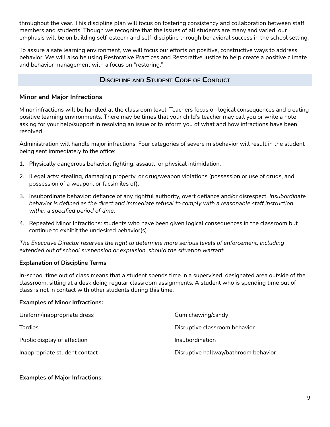throughout the year. This discipline plan will focus on fostering consistency and collaboration between staff members and students. Though we recognize that the issues of all students are many and varied, our emphasis will be on building self-esteem and self-discipline through behavioral success in the school setting.

To assure a safe learning environment, we will focus our efforts on positive, constructive ways to address behavior. We will also be using Restorative Practices and Restorative Justice to help create a positive climate and behavior management with a focus on "restoring."

# **DISCIPLINE AND STUDENT CODE OF CONDUCT**

### <span id="page-9-0"></span>**Minor and Major Infractions**

Minor infractions will be handled at the classroom level. Teachers focus on logical consequences and creating positive learning environments. There may be times that your child's teacher may call you or write a note asking for your help/support in resolving an issue or to inform you of what and how infractions have been resolved.

Administration will handle major infractions. Four categories of severe misbehavior will result in the student being sent immediately to the office:

- 1. Physically dangerous behavior: fighting, assault, or physical intimidation.
- 2. Illegal acts: stealing, damaging property, or drug/weapon violations (possession or use of drugs, and possession of a weapon, or facsimiles of).
- 3. Insubordinate behavior: defiance of any rightful authority, overt defiance and/or disrespect. *Insubordinate behavior is defined as the direct and immediate refusal to comply with a reasonable staff instruction within a specified period of time*.
- 4. Repeated Minor Infractions: students who have been given logical consequences in the classroom but continue to exhibit the undesired behavior(s).

*The Executive Director reserves the right to determine more serious levels of enforcement, including extended out of school suspension or expulsion, should the situation warrant.*

### **Explanation of Discipline Terms**

In-school time out of class means that a student spends time in a supervised, designated area outside of the classroom, sitting at a desk doing regular classroom assignments. A student who is spending time out of class is not in contact with other students during this time.

### **Examples of Minor Infractions:**

| Uniform/inappropriate dress   | Gum chewing/candy                    |
|-------------------------------|--------------------------------------|
| <b>Tardies</b>                | Disruptive classroom behavior        |
| Public display of affection   | Insubordination                      |
| Inappropriate student contact | Disruptive hallway/bathroom behavior |

### **Examples of Major Infractions:**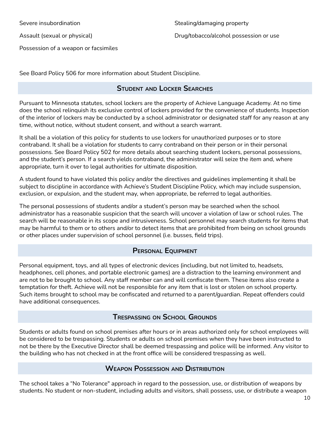Severe insubordination

Assault (sexual or physical)

Possession of a weapon or facsimiles

<span id="page-10-0"></span>See Board Policy 506 for more information about Student Discipline.

# **STUDENT AND LOCKER SEARCHES**

Pursuant to Minnesota statutes, school lockers are the property of Achieve Language Academy. At no time does the school relinquish its exclusive control of lockers provided for the convenience of students. Inspection of the interior of lockers may be conducted by a school administrator or designated staff for any reason at any time, without notice, without student consent, and without a search warrant.

It shall be a violation of this policy for students to use lockers for unauthorized purposes or to store contraband. It shall be a violation for students to carry contraband on their person or in their personal possessions. See Board Policy 502 for more details about searching student lockers, personal possessions, and the student's person. If a search yields contraband, the administrator will seize the item and, where appropriate, turn it over to legal authorities for ultimate disposition.

A student found to have violated this policy and/or the directives and guidelines implementing it shall be subject to discipline in accordance with Achieve's Student Discipline Policy, which may include suspension, exclusion, or expulsion, and the student may, when appropriate, be referred to legal authorities.

The personal possessions of students and/or a student's person may be searched when the school administrator has a reasonable suspicion that the search will uncover a violation of law or school rules. The search will be reasonable in its scope and intrusiveness. School personnel may search students for items that may be harmful to them or to others and/or to detect items that are prohibited from being on school grounds or other places under supervision of school personnel (i.e. busses, field trips).

# **PERSONAL EQUIPMENT**

<span id="page-10-1"></span>Personal equipment, toys, and all types of electronic devices (including, but not limited to, headsets, headphones, cell phones, and portable electronic games) are a distraction to the learning environment and are not to be brought to school. Any staff member can and will confiscate them. These items also create a temptation for theft. Achieve will not be responsible for any item that is lost or stolen on school property. Such items brought to school may be confiscated and returned to a parent/guardian. Repeat offenders could have additional consequences.

# **TRESPASSING ON SCHOOL GROUNDS**

<span id="page-10-2"></span>Students or adults found on school premises after hours or in areas authorized only for school employees will be considered to be trespassing. Students or adults on school premises when they have been instructed to not be there by the Executive Director shall be deemed trespassing and police will be informed. Any visitor to the building who has not checked in at the front office will be considered trespassing as well.

# **WEAPON POSSESSION AND DISTRIBUTION**

<span id="page-10-3"></span>The school takes a "No Tolerance" approach in regard to the possession, use, or distribution of weapons by students. No student or non-student, including adults and visitors, shall possess, use, or distribute a weapon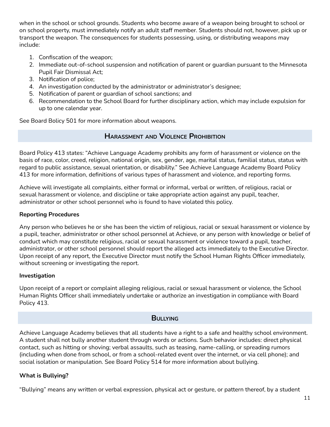when in the school or school grounds. Students who become aware of a weapon being brought to school or on school property, must immediately notify an adult staff member. Students should not, however, pick up or transport the weapon. The consequences for students possessing, using, or distributing weapons may include:

- 1. Confiscation of the weapon;
- 2. Immediate out-of-school suspension and notification of parent or guardian pursuant to the Minnesota Pupil Fair Dismissal Act;
- 3. Notification of police;
- 4. An investigation conducted by the administrator or administrator's designee;
- 5. Notification of parent or guardian of school sanctions; and
- 6. Recommendation to the School Board for further disciplinary action, which may include expulsion for up to one calendar year.

<span id="page-11-0"></span>See Board Bolicy 501 for more information about weapons.

# **HARASSMENT AND VIOLENCE PROHIBITION**

Board Policy 413 states: "Achieve Language Academy prohibits any form of harassment or violence on the basis of race, color, creed, religion, national origin, sex, gender, age, marital status, familial status, status with regard to public assistance, sexual orientation, or disability." See Achieve Language Academy Board Policy 413 for more information, definitions of various types of harassment and violence, and reporting forms.

Achieve will investigate all complaints, either formal or informal, verbal or written, of religious, racial or sexual harassment or violence, and discipline or take appropriate action against any pupil, teacher, administrator or other school personnel who is found to have violated this policy.

### **Reporting Procedures**

Any person who believes he or she has been the victim of religious, racial or sexual harassment or violence by a pupil, teacher, administrator or other school personnel at Achieve, or any person with knowledge or belief of conduct which may constitute religious, racial or sexual harassment or violence toward a pupil, teacher, administrator, or other school personnel should report the alleged acts immediately to the Executive Director. Upon receipt of any report, the Executive Director must notify the School Human Rights Officer immediately, without screening or investigating the report.

### **Investigation**

Upon receipt of a report or complaint alleging religious, racial or sexual harassment or violence, the School Human Rights Officer shall immediately undertake or authorize an investigation in compliance with Board Policy 413.

### **BULLYING**

<span id="page-11-1"></span>Achieve Language Academy believes that all students have a right to a safe and healthy school environment. A student shall not bully another student through words or actions. Such behavior includes: direct physical contact, such as hitting or shoving; verbal assaults, such as teasing, name-calling, or spreading rumors (including when done from school, or from a school-related event over the internet, or via cell phone); and social isolation or manipulation. See Board Policy 514 for more information about bullying.

### **What is Bullying?**

"Bullying" means any written or verbal expression, physical act or gesture, or pattern thereof, by a student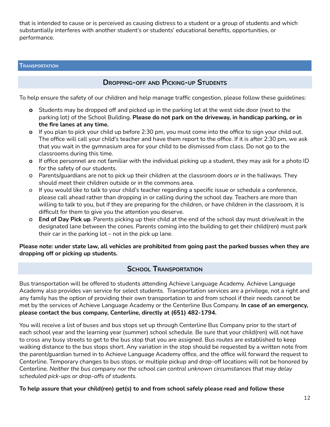that is intended to cause or is perceived as causing distress to a student or a group of students and which substantially interferes with another student's or students' educational benefits, opportunities, or performance.

### <span id="page-12-1"></span><span id="page-12-0"></span>**TRANSPORTATION**

# **DROPPING-OFF AND PICKING-UP STUDENTS**

To help ensure the safety of our children and help manage traffic congestion, please follow these guidelines:

- **o** Students may be dropped off and picked up in the parking lot at the west side door (next to the parking lot) of the School Building. **Please do not park on the driveway, in handicap parking, or in the fire lanes at any time.**
- **o** If you plan to pick your child up before 2:30 pm, you must come into the office to sign your child out. The office will call your child's teacher and have them report to the office. If it is after 2:30 pm, we ask that you wait in the gymnasium area for your child to be dismissed from class. Do not go to the classrooms during this time.
- **o** If office personnel are not familiar with the individual picking up a student, they may ask for a photo ID for the safety of our students.
- o Parents/guardians are not to pick up their children at the classroom doors or in the hallways. They should meet their children outside or in the commons area.
- o If you would like to talk to your child's teacher regarding a specific issue or schedule a conference, please call ahead rather than dropping in or calling during the school day. Teachers are more than willing to talk to you, but if they are preparing for the children, or have children in the classroom, it is difficult for them to give you the attention you deserve.
- o **End of Day Pick up**. Parents picking up their child at the end of the school day must drive/wait in the designated lane between the cones. Parents coming into the building to get their child(ren) must park their car in the parking lot – not in the pick up lane.

### Please note: under state law, all vehicles are prohibited from going past the parked busses when they are **dropping off or picking up students.**

### **SCHOOL TRANSPORTATION**

<span id="page-12-2"></span>Bus transportation will be offered to students attending Achieve Language Academy. Achieve Language Academy also provides van service for select students. Transportation services are a privilege, not a right and any family has the option of providing their own transportation to and from school if their needs cannot be met by the services of Achieve Language Academy or the Centerline Bus Company. **In case of an emergency, please contact the bus company, Centerline, directly at (651) 482-1794.**

You will receive a list of buses and bus stops set up through Centerline Bus Company prior to the start of each school year and the learning year (summer) school schedule. Be sure that your child(ren) will not have to cross any busy streets to get to the bus stop that you are assigned. Bus routes are established to keep walking distance to the bus stops short. Any variation in the stop should be requested by a written note from the parent/guardian turned in to Achieve Language Academy office, and the office will forward the request to Centerline. Temporary changes to bus stops, or multiple pickup and drop-off locations will not be honored by Centerline. *Neither the bus company nor the school can control unknown circumstances that may delay scheduled pick-ups or drop-offs of students.*

**To help assure that your child(ren) get(s) to and from school safely please read and follow these**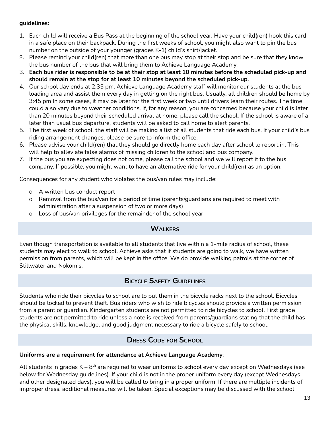### **guidelines:**

- 1. Each child will receive a Bus Pass at the beginning of the school year. Have your child(ren) hook this card in a safe place on their backpack. During the first weeks of school, you might also want to pin the bus number on the outside of your younger (grades K-1) child's shirt/jacket.
- 2. Please remind your child(ren) that more than one bus may stop at their stop and be sure that they know the bus number of the bus that will bring them to Achieve Language Academy.
- 3. Each bus rider is responsible to be at their stop at least 10 minutes before the scheduled pick-up and **should remain at the stop for at least 10 minutes beyond the scheduled pick-up.**
- 4. Our school day ends at 2:35 pm. Achieve Language Academy staff will monitor our students at the bus loading area and assist them every day in getting on the right bus. Usually, all children should be home by 3:45 pm In some cases, it may be later for the first week or two until drivers learn their routes. The time could also vary due to weather conditions. If, for any reason, you are concerned because your child is later than 20 minutes beyond their scheduled arrival at home, please call the school. If the school is aware of a later than usual bus departure, students will be asked to call home to alert parents.
- 5. The first week of school, the staff will be making a list of all students that ride each bus. If your child's bus riding arrangement changes, please be sure to inform the office.
- 6. Please advise your child(ren) that they should go directly home each day after school to report in. This will help to alleviate false alarms of missing children to the school and bus company.
- 7. If the bus you are expecting does not come, please call the school and we will report it to the bus company. If possible, you might want to have an alternative ride for your child(ren) as an option.

Consequences for any student who violates the bus/van rules may include:

- <sup>O</sup> A written bus conduct report
- <sup>O</sup> Removal from the bus/van for a period of time (parents/guardians are required to meet with administration after a suspension of two or more days)
- <span id="page-13-0"></span>o Loss of bus/van privileges for the remainder of the school year

# **WALKERS**

Even though transportation is available to all students that live within a 1-mile radius of school, these students may elect to walk to school. Achieve asks that if students are going to walk, we have written permission from parents, which will be kept in the office. We do provide walking patrols at the corner of Stillwater and Nokomis.

# **BICYCLE SAFETY GUIDELINES**

<span id="page-13-1"></span>Students who ride their bicycles to school are to put them in the bicycle racks next to the school. Bicycles should be locked to prevent theft. Bus riders who wish to ride bicycles should provide a written permission from a parent or guardian. Kindergarten students are not permitted to ride bicycles to school. First grade students are not permitted to ride unless a note is received from parents/guardians stating that the child has the physical skills, knowledge, and good judgment necessary to ride a bicycle safely to school.

# **DRESS CODE FOR SCHOOL**

### <span id="page-13-2"></span>**Uniforms are a requirement for attendance at Achieve Language Academy**:

All students in grades K –  $8^{\text{th}}$  are required to wear uniforms to school every day except on Wednesdays (see below for Wednesday guidelines). If your child is not in the proper uniform every day (except Wednesdays and other designated days), you will be called to bring in a proper uniform. If there are multiple incidents of improper dress, additional measures will be taken. Special exceptions may be discussed with the school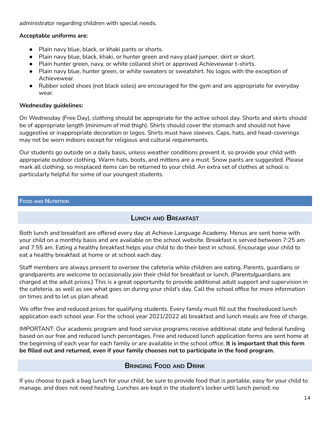administrator regarding children with special needs.

### **Acceptable uniforms are:**

- Plain navy blue, black, or khaki pants or shorts.
- Plain navy blue, black, khaki, or hunter green and navy plaid jumper, skirt or skort.
- Plain hunter green, navy, or white collared shirt or approved Achievewear t-shirts.
- Plain navy blue, hunter green, or white sweaters or sweatshirt. No logos with the exception of Achievewear.
- Rubber soled shoes (not black soles) are encouraged for the gym and are appropriate for everyday wear.

### **Wednesday guidelines:**

On Wednesday (Free Day), clothing should be appropriate for the active school day. Shorts and skirts should be of appropriate length (minimum of mid thigh). Shirts should cover the stomach and should not have suggestive or inappropriate decoration or logos. Shirts must have sleeves. Caps, hats, and head-coverings may not be worn indoors except for religious and cultural requirements.

Our students go outside on a daily basis, unless weather conditions prevent it, so provide your child with appropriate outdoor clothing. Warm hats, boots, and mittens are a must. Snow pants are suggested. Please mark all clothing, so misplaced items can be returned to your child. An extra set of clothes at school is particularly helpful for some of our youngest students.

### <span id="page-14-1"></span><span id="page-14-0"></span>**FOOD AND NUTRITION**

# **LUNCH AND BREAKFAST**

Both lunch and breakfast are offered every day at Achieve Language Academy. Menus are sent home with your child on a monthly basis and are available on the school website. Breakfast is served between 7:25 am and 7:55 am. Eating a healthy breakfast helps your child to do their best in school. Encourage your child to eat a healthy breakfast at home or at school each day.

Staff members are always present to oversee the cafeteria while children are eating. Parents, guardians or grandparents are welcome to occasionally join their child for breakfast or lunch. (Parents/guardians are charged at the adult prices.) This is a great opportunity to provide additional adult support and supervision in the cafeteria, as well as see what goes on during your child's day. Call the school office for more information on times and to let us plan ahead.

We offer free and reduced prices for qualifying students. Every family must fill out the free/reduced lunch application each school year. For the school year 2021/2022 all breakfast and lunch meals are free of charge.

IMPORTANT: Our academic program and food service programs receive additional state and federal funding based on our free and reduced lunch percentages. Free and reduced lunch application forms are sent home at the beginning of each year for each family or are available in the school office. **It is important that this form be filled out and returned, even if your family chooses not to participate in the food program.**

### **BRINGING FOOD AND DRINK**

<span id="page-14-2"></span>If you choose to pack a bag lunch for your child, be sure to provide food that is portable, easy for your child to manage, and does not need heating. Lunches are kept in the student's locker until lunch period; no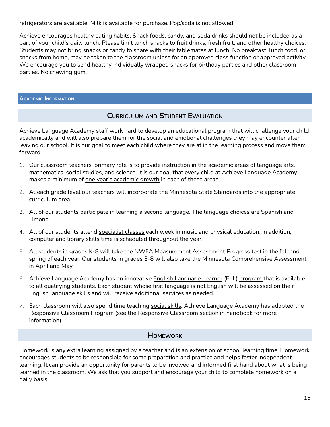refrigerators are available. Milk is available for purchase. Pop/soda is not allowed.

Achieve encourages healthy eating habits. Snack foods, candy, and soda drinks should not be included as a part of your child's daily lunch. Please limit lunch snacks to fruit drinks, fresh fruit, and other healthy choices. Students may not bring snacks or candy to share with their tablemates at lunch. No breakfast, lunch food, or snacks from home, may be taken to the classroom unless for an approved class function or approved activity. We encourage you to send healthy individually wrapped snacks for birthday parties and other classroom parties. No chewing gum.

### <span id="page-15-1"></span><span id="page-15-0"></span>**ACADEMIC INFORMATION**

# **CURRICULUM AND STUDENT EVALUATION**

Achieve Language Academy staff work hard to develop an educational program that will challenge your child academically and will also prepare them for the social and emotional challenges they may encounter after leaving our school. It is our goal to meet each child where they are at in the learning process and move them forward.

- 1. Our classroom teachers' primary role is to provide instruction in the academic areas of language arts, mathematics, social studies, and science. It is our goal that every child at Achieve Language Academy makes a minimum of one year's academic growth in each of these areas.
- 2. At each grade level our teachers will incorporate the Minnesota State Standards into the appropriate curriculum area.
- 3. All of our students participate in learning a second language. The language choices are Spanish and Hmong.
- 4. All of our students attend specialist classes each week in music and physical education. In addition, computer and library skills time is scheduled throughout the year.
- 5. All students in grades K-8 will take the NWEA Measurement Assessment Progress test in the fall and spring of each year. Our students in grades 3-8 will also take the Minnesota Comprehensive Assessment in April and May.
- 6. Achieve Language Academy has an innovative English Language Learner (ELL) program that is available to all qualifying students. Each student whose first language is not English will be assessed on their English language skills and will receive additional services as needed.
- 7. Each classroom will also spend time teaching social skills. Achieve Language Academy has adopted the Responsive Classroom Program (see the Responsive Classroom section in handbook for more information).

# **HOMEWORK**

<span id="page-15-2"></span>Homework is any extra learning assigned by a teacher and is an extension of school learning time. Homework encourages students to be responsible for some preparation and practice and helps foster independent learning. It can provide an opportunity for parents to be involved and informed first hand about what is being learned in the classroom. We ask that you support and encourage your child to complete homework on a daily basis.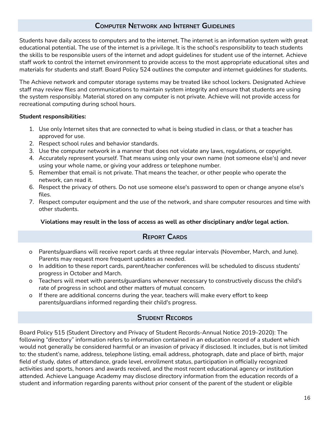# **COMPUTER NETWORK AND INTERNET GUIDELINES**

<span id="page-16-0"></span>Students have daily access to computers and to the internet. The internet is an information system with great educational potential. The use of the internet is a privilege. It is the school's responsibility to teach students the skills to be responsible users of the internet and adopt guidelines for student use of the internet. Achieve staff work to control the internet environment to provide access to the most appropriate educational sites and materials for students and staff. Board Policy 524 outlines the computer and internet guidelines for students.

The Achieve network and computer storage systems may be treated like school lockers. Designated Achieve staff may review files and communications to maintain system integrity and ensure that students are using the system responsibly. Material stored on any computer is not private. Achieve will not provide access for recreational computing during school hours.

### **Student responsibilities:**

- 1. Use only Internet sites that are connected to what is being studied in class, or that a teacher has approved for use.
- 2. Respect school rules and behavior standards.
- 3. Use the computer network in a manner that does not violate any laws, regulations, or copyright.
- 4. Accurately represent yourself. That means using only your own name (not someone else's) and never using your whole name, or giving your address or telephone number.
- 5. Remember that email is not private. That means the teacher, or other people who operate the network, can read it.
- 6. Respect the privacy of others. Do not use someone else's password to open or change anyone else's files.
- 7. Respect computer equipment and the use of the network, and share computer resources and time with other students.

### **Violations may result in the loss of access as well as other disciplinary and/or legal action.**

# **REPORT CARDS**

- <span id="page-16-1"></span>o Parents/guardians will receive report cards at three regular intervals (November, March, and June). Parents may request more frequent updates as needed.
- o In addition to these report cards, parent/teacher conferences will be scheduled to discuss students' progress in October and March.
- o Teachers will meet with parents/guardians whenever necessary to constructively discuss the child's rate of progress in school and other matters of mutual concern.
- o If there are additional concerns during the year, teachers will make every effort to keep parents/guardians informed regarding their child's progress.

# **STUDENT RECORDS**

<span id="page-16-2"></span>Board Policy 515 (Student Directory and Privacy of Student Records-Annual Notice 2019-2020): The following "directory" information refers to information contained in an education record of a student which would not generally be considered harmful or an invasion of privacy if disclosed. It includes, but is not limited to: the student's name, address, telephone listing, email address, photograph, date and place of birth, major field of study, dates of attendance, grade level, enrollment status, participation in officially recognized activities and sports, honors and awards received, and the most recent educational agency or institution attended. Achieve Language Academy may disclose directory information from the education records of a student and information regarding parents without prior consent of the parent of the student or eligible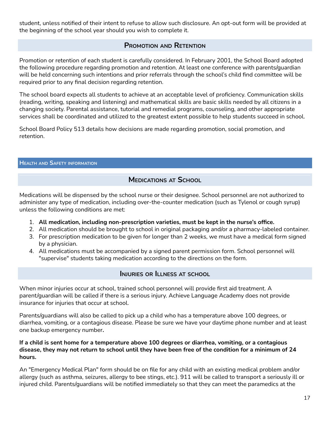student, unless notified of their intent to refuse to allow such disclosure. An opt-out form will be provided at the beginning of the school year should you wish to complete it.

# **PROMOTION AND RETENTION**

<span id="page-17-0"></span>Promotion or retention of each student is carefully considered. In February 2001, the School Board adopted the following procedure regarding promotion and retention. At least one conference with parents/guardian will be held concerning such intentions and prior referrals through the school's child find committee will be required prior to any final decision regarding retention.

The school board expects all students to achieve at an acceptable level of proficiency. Communication skills (reading, writing, speaking and listening) and mathematical skills are basic skills needed by all citizens in a changing society. Parental assistance, tutorial and remedial programs, counseling, and other appropriate services shall be coordinated and utilized to the greatest extent possible to help students succeed in school.

School Board Policy 513 details how decisions are made regarding promotion, social promotion, and retention.

### <span id="page-17-2"></span><span id="page-17-1"></span>**HEALTH AND SAFETY INFORMATION**

# **MEDICATIONS AT SCHOOL**

Medications will be dispensed by the school nurse or their designee. School personnel are not authorized to administer any type of medication, including over-the-counter medication (such as Tylenol or cough syrup) unless the following conditions are met:

- 1. **All medication, including non-prescription varieties, must be kept in the nurse's office.**
- 2. All medication should be brought to school in original packaging and/or a pharmacy-labeled container.
- 3. For prescription medication to be given for longer than 2 weeks, we must have a medical form signed by a physician.
- 4. All medications must be accompanied by a signed parent permission form. School personnel will "supervise" students taking medication according to the directions on the form.

# **INJURIES OR ILLNESS AT SCHOOL**

<span id="page-17-3"></span>When minor injuries occur at school, trained school personnel will provide first aid treatment. A parent/guardian will be called if there is a serious injury. Achieve Language Academy does not provide insurance for injuries that occur at school.

Parents/guardians will also be called to pick up a child who has a temperature above 100 degrees, or diarrhea, vomiting, or a contagious disease. Please be sure we have your daytime phone number and at least one backup emergency number**.**

### **If a child is sent home for a temperature above 100 degrees or diarrhea, vomiting, or a contagious** disease, they may not return to school until they have been free of the condition for a minimum of 24 **hours.**

An "Emergency Medical Plan" form should be on file for any child with an existing medical problem and/or allergy (such as asthma, seizures, allergy to bee stings, etc.). 911 will be called to transport a seriously ill or injured child. Parents/guardians will be notified immediately so that they can meet the paramedics at the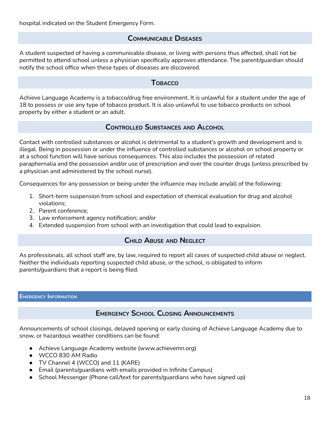# **COMMUNICABLE DISEASES**

<span id="page-18-0"></span>A student suspected of having a communicable disease, or living with persons thus affected, shall not be permitted to attend school unless a physician specifically approves attendance. The parent/guardian should notify the school office when these types of diseases are discovered.

### **TOBACCO**

<span id="page-18-1"></span>Achieve Language Academy is a tobacco/drug free environment. It is unlawful for a student under the age of 18 to possess or use any type of tobacco product. It is also unlawful to use tobacco products on school property by either a student or an adult.

# **CONTROLLED SUBSTANCES AND ALCOHOL**

<span id="page-18-2"></span>Contact with controlled substances or alcohol is detrimental to a student's growth and development and is illegal. Being in possession or under the influence of controlled substances or alcohol on school property or at a school function will have serious consequences. This also includes the possession of related paraphernalia and the possession and/or use of prescription and over the counter drugs (unless prescribed by a physician and administered by the school nurse).

Consequences for any possession or being under the influence may include any/all of the following:

- 1. Short-term suspension from school and expectation of chemical evaluation for drug and alcohol violations;
- 2. Parent conference;
- 3. Law enforcement agency notification; and/or
- <span id="page-18-3"></span>4. Extended suspension from school with an investigation that could lead to expulsion.

# **CHILD ABUSE AND NEGLECT**

As professionals, all school staff are, by law, required to report all cases of suspected child abuse or neglect. Neither the individuals reporting suspected child abuse, or the school, is obligated to inform parents/guardians that a report is being filed.

### <span id="page-18-5"></span><span id="page-18-4"></span>**EMERGENCY INFORMATION**

# **EMERGENCY SCHOOL CLOSING ANNOUNCEMENTS**

Announcements of school closings, delayed opening or early closing of Achieve Language Academy due to snow, or hazardous weather conditions can be found:

- Achieve Language Academy website (www.achievemn.org)
- WCCO 830 AM Radio
- TV Channel 4 (WCCO) and 11 (KARE)
- Email (parents/guardians with emails provided in Infinite Campus)
- School Messenger (Phone call/text for parents/guardians who have signed up)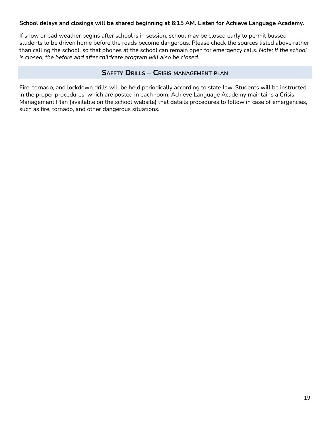### **School delays and closings will be shared beginning at 6:15 AM. Listen for Achieve Language Academy.**

If snow or bad weather begins after school is in session, school may be closed early to permit bussed students to be driven home before the roads become dangerous. Please check the sources listed above rather than calling the school, so that phones at the school can remain open for emergency calls. *Note: If the school is closed, the before and after childcare program will also be closed.*

### **SAFETY DRILLS – CRISIS MANAGEMENT PLAN**

<span id="page-19-0"></span>Fire, tornado, and lockdown drills will be held periodically according to state law. Students will be instructed in the proper procedures, which are posted in each room. Achieve Language Academy maintains a Crisis Management Plan (available on the school website) that details procedures to follow in case of emergencies, such as fire, tornado, and other dangerous situations.